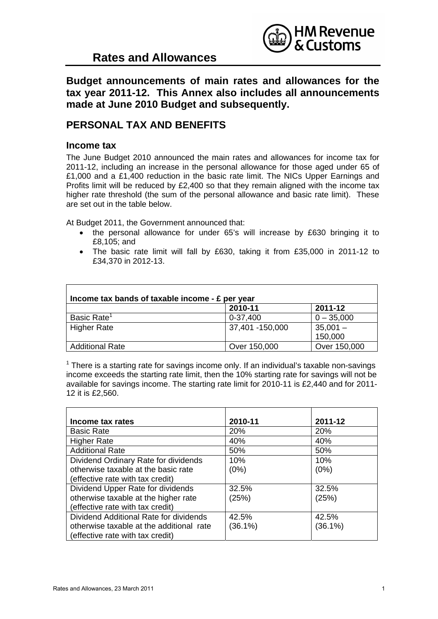

## **Rates and Allowances**

**Budget announcements of main rates and allowances for the tax year 2011-12. This Annex also includes all announcements made at June 2010 Budget and subsequently.** 

### **PERSONAL TAX AND BENEFITS**

#### **Income tax**

The June Budget 2010 announced the main rates and allowances for income tax for 2011-12, including an increase in the personal allowance for those aged under 65 of £1,000 and a £1,400 reduction in the basic rate limit. The NICs Upper Earnings and Profits limit will be reduced by £2,400 so that they remain aligned with the income tax higher rate threshold (the sum of the personal allowance and basic rate limit). These are set out in the table below.

At Budget 2011, the Government announced that:

- the personal allowance for under 65's will increase by £630 bringing it to £8,105; and
- The basic rate limit will fall by £630, taking it from £35,000 in 2011-12 to £34,370 in 2012-13.

| Income tax bands of taxable income - £ per year |                 |              |  |
|-------------------------------------------------|-----------------|--------------|--|
|                                                 | 2010-11         | 2011-12      |  |
| Basic Rate <sup>1</sup>                         | 0-37,400        | $0 - 35,000$ |  |
| <b>Higher Rate</b>                              | 37,401 -150,000 | $35,001 -$   |  |
|                                                 |                 | 150,000      |  |
| <b>Additional Rate</b>                          | Over 150,000    | Over 150,000 |  |

 $1$  There is a starting rate for savings income only. If an individual's taxable non-savings income exceeds the starting rate limit, then the 10% starting rate for savings will not be available for savings income. The starting rate limit for 2010-11 is £2,440 and for 2011- 12 it is £2,560.

| Income tax rates                         | 2010-11    | 2011-12    |
|------------------------------------------|------------|------------|
| <b>Basic Rate</b>                        | 20%        | 20%        |
| <b>Higher Rate</b>                       | 40%        | 40%        |
| <b>Additional Rate</b>                   | 50%        | 50%        |
| Dividend Ordinary Rate for dividends     | 10%        | 10%        |
| otherwise taxable at the basic rate      | (0%)       | (0%)       |
| (effective rate with tax credit)         |            |            |
| Dividend Upper Rate for dividends        | 32.5%      | 32.5%      |
| otherwise taxable at the higher rate     | (25%)      | (25%)      |
| (effective rate with tax credit)         |            |            |
| Dividend Additional Rate for dividends   | 42.5%      | 42.5%      |
| otherwise taxable at the additional rate | $(36.1\%)$ | $(36.1\%)$ |
| (effective rate with tax credit)         |            |            |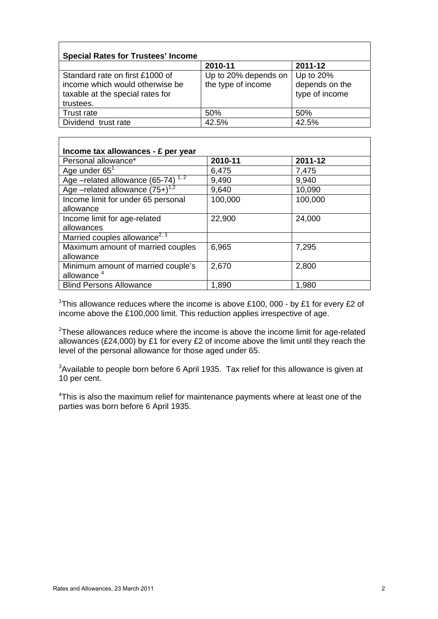| <b>Special Rates for Trustees' Income</b>                                                                           |                                            |                                               |  |
|---------------------------------------------------------------------------------------------------------------------|--------------------------------------------|-----------------------------------------------|--|
|                                                                                                                     | 2010-11                                    | 2011-12                                       |  |
| Standard rate on first £1000 of<br>income which would otherwise be<br>taxable at the special rates for<br>trustees. | Up to 20% depends on<br>the type of income | Up to 20%<br>depends on the<br>type of income |  |
| Trust rate                                                                                                          | 50%                                        | 50%                                           |  |
| Dividend trust rate                                                                                                 | 42.5%                                      | 42.5%                                         |  |

| Income tax allowances - £ per year            |         |         |
|-----------------------------------------------|---------|---------|
| Personal allowance*                           | 2010-11 | 2011-12 |
| Age under $65^1$                              | 6,475   | 7,475   |
| Age -related allowance (65-74)                | 9,490   | 9,940   |
| Age –related allowance $(75+)$ <sup>1,2</sup> | 9,640   | 10,090  |
| Income limit for under 65 personal            | 100,000 | 100,000 |
| allowance                                     |         |         |
| Income limit for age-related                  | 22,900  | 24,000  |
| allowances                                    |         |         |
| Married couples allowance <sup>2, 3</sup>     |         |         |
| Maximum amount of married couples             | 6,965   | 7,295   |
| allowance                                     |         |         |
| Minimum amount of married couple's            | 2,670   | 2,800   |
| allowance <sup>4</sup>                        |         |         |
| <b>Blind Persons Allowance</b>                | 1,890   | 1,980   |

<sup>1</sup>This allowance reduces where the income is above £100, 000 - by £1 for every £2 of income above the £100,000 limit. This reduction applies irrespective of age.

 $2$ These allowances reduce where the income is above the income limit for age-related allowances (£24,000) by £1 for every £2 of income above the limit until they reach the level of the personal allowance for those aged under 65.

 $3$ Available to people born before 6 April 1935. Tax relief for this allowance is given at 10 per cent.

<sup>4</sup>This is also the maximum relief for maintenance payments where at least one of the parties was born before 6 April 1935.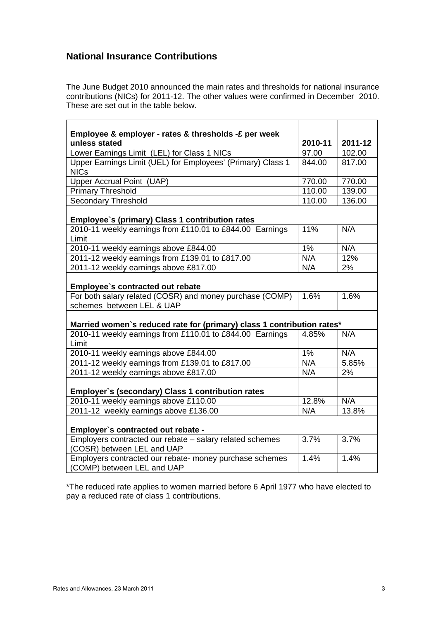### **National Insurance Contributions**

The June Budget 2010 announced the main rates and thresholds for national insurance contributions (NICs) for 2011-12. The other values were confirmed in December 2010. These are set out in the table below.

| Employee & employer - rates & thresholds -£ per week                                                        |         |         |
|-------------------------------------------------------------------------------------------------------------|---------|---------|
| unless stated                                                                                               | 2010-11 | 2011-12 |
| Lower Earnings Limit (LEL) for Class 1 NICs                                                                 | 97.00   | 102.00  |
| Upper Earnings Limit (UEL) for Employees' (Primary) Class 1                                                 | 844.00  | 817.00  |
| <b>NICs</b>                                                                                                 |         |         |
| Upper Accrual Point (UAP)                                                                                   | 770.00  | 770.00  |
| <b>Primary Threshold</b>                                                                                    | 110.00  | 139.00  |
| <b>Secondary Threshold</b>                                                                                  | 110.00  | 136.00  |
|                                                                                                             |         |         |
| Employee's (primary) Class 1 contribution rates<br>2010-11 weekly earnings from £110.01 to £844.00 Earnings |         |         |
|                                                                                                             | 11%     | N/A     |
| Limit                                                                                                       |         |         |
| 2010-11 weekly earnings above £844.00                                                                       | 1%      | N/A     |
| 2011-12 weekly earnings from £139.01 to £817.00                                                             | N/A     | 12%     |
| 2011-12 weekly earnings above £817.00                                                                       | N/A     | 2%      |
|                                                                                                             |         |         |
| Employee's contracted out rebate                                                                            |         |         |
| For both salary related (COSR) and money purchase (COMP)                                                    | 1.6%    | 1.6%    |
| schemes between LEL & UAP                                                                                   |         |         |
|                                                                                                             |         |         |
| Married women's reduced rate for (primary) class 1 contribution rates*                                      |         |         |
| 2010-11 weekly earnings from £110.01 to £844.00 Earnings                                                    | 4.85%   | N/A     |
| Limit                                                                                                       |         |         |
| 2010-11 weekly earnings above £844.00                                                                       | 1%      | N/A     |
| 2011-12 weekly earnings from £139.01 to £817.00                                                             | N/A     | 5.85%   |
| 2011-12 weekly earnings above £817.00                                                                       | N/A     | 2%      |
|                                                                                                             |         |         |
| Employer's (secondary) Class 1 contribution rates                                                           |         |         |
| 2010-11 weekly earnings above £110.00                                                                       | 12.8%   | N/A     |
| 2011-12 weekly earnings above £136.00                                                                       | N/A     | 13.8%   |
|                                                                                                             |         |         |
| Employer's contracted out rebate -                                                                          |         |         |
| Employers contracted our rebate - salary related schemes                                                    | 3.7%    | 3.7%    |
| (COSR) between LEL and UAP                                                                                  |         |         |
| Employers contracted our rebate- money purchase schemes                                                     | 1.4%    | 1.4%    |
| (COMP) between LEL and UAP                                                                                  |         |         |

\*The reduced rate applies to women married before 6 April 1977 who have elected to pay a reduced rate of class 1 contributions.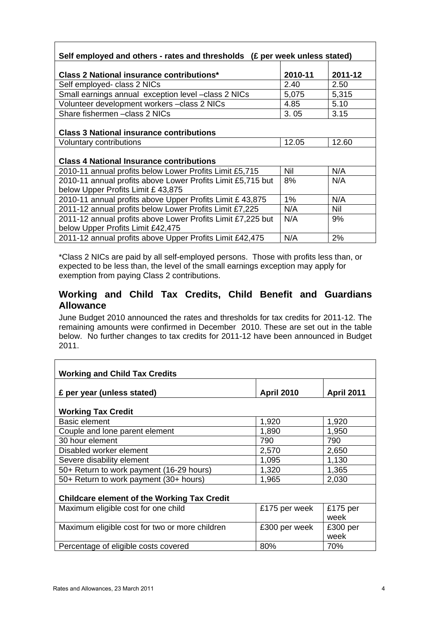| Self employed and others - rates and thresholds (£ per week unless stated)                       |         |         |  |
|--------------------------------------------------------------------------------------------------|---------|---------|--|
| Class 2 National insurance contributions*                                                        | 2010-11 | 2011-12 |  |
| Self employed- class 2 NICs                                                                      | 2.40    | 2.50    |  |
| Small earnings annual exception level -class 2 NICs                                              | 5,075   | 5,315   |  |
| Volunteer development workers -class 2 NICs                                                      | 4.85    | 5.10    |  |
| Share fishermen - class 2 NICs                                                                   | 3.05    | 3.15    |  |
| <b>Class 3 National insurance contributions</b>                                                  |         |         |  |
| <b>Voluntary contributions</b>                                                                   | 12.05   | 12.60   |  |
| <b>Class 4 National Insurance contributions</b>                                                  |         |         |  |
| 2010-11 annual profits below Lower Profits Limit £5,715                                          | Nil     | N/A     |  |
| 2010-11 annual profits above Lower Profits Limit £5,715 but<br>below Upper Profits Limit £43,875 | 8%      | N/A     |  |
| 2010-11 annual profits above Upper Profits Limit £ 43,875                                        | $1\%$   | N/A     |  |
| 2011-12 annual profits below Lower Profits Limit £7,225                                          | N/A     | Nil     |  |
| 2011-12 annual profits above Lower Profits Limit £7,225 but<br>below Upper Profits Limit £42,475 | N/A     | 9%      |  |
| 2011-12 annual profits above Upper Profits Limit £42,475                                         | N/A     | 2%      |  |

\*Class 2 NICs are paid by all self-employed persons. Those with profits less than, or expected to be less than, the level of the small earnings exception may apply for exemption from paying Class 2 contributions.

### **Working and Child Tax Credits, Child Benefit and Guardians Allowance**

June Budget 2010 announced the rates and thresholds for tax credits for 2011-12. The remaining amounts were confirmed in December 2010. These are set out in the table below. No further changes to tax credits for 2011-12 have been announced in Budget 2011.

| <b>Working and Child Tax Credits</b>               |                   |                   |  |
|----------------------------------------------------|-------------------|-------------------|--|
| £ per year (unless stated)                         | <b>April 2010</b> | <b>April 2011</b> |  |
| <b>Working Tax Credit</b>                          |                   |                   |  |
| <b>Basic element</b>                               | 1,920             | 1,920             |  |
| Couple and lone parent element                     | 1,890             | 1,950             |  |
| 30 hour element                                    | 790               | 790               |  |
| Disabled worker element                            | 2,570             | 2,650             |  |
| Severe disability element                          | 1,095             | 1,130             |  |
| 50+ Return to work payment (16-29 hours)           | 1,320             | 1,365             |  |
| 50+ Return to work payment (30+ hours)             | 1,965             | 2,030             |  |
| <b>Childcare element of the Working Tax Credit</b> |                   |                   |  |
| Maximum eligible cost for one child                | £175 per week     | £175 per<br>week  |  |
| Maximum eligible cost for two or more children     | £300 per week     | £300 per<br>week  |  |
| Percentage of eligible costs covered               | 80%               | 70%               |  |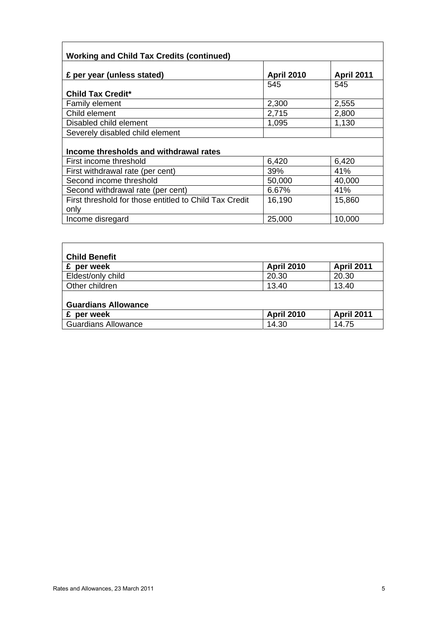| <b>Working and Child Tax Credits (continued)</b>               |                   |                   |
|----------------------------------------------------------------|-------------------|-------------------|
| £ per year (unless stated)                                     | <b>April 2010</b> | <b>April 2011</b> |
| <b>Child Tax Credit*</b>                                       | 545               | 545               |
| <b>Family element</b>                                          | 2,300             | 2,555             |
| Child element                                                  | 2,715             | 2,800             |
| Disabled child element                                         | 1,095             | 1,130             |
| Severely disabled child element                                |                   |                   |
| Income thresholds and withdrawal rates                         |                   |                   |
| First income threshold                                         | 6,420             | 6,420             |
| First withdrawal rate (per cent)                               | 39%               | 41%               |
| Second income threshold                                        | 50,000            | 40,000            |
| Second withdrawal rate (per cent)                              | 6.67%             | 41%               |
| First threshold for those entitled to Child Tax Credit<br>only | 16,190            | 15,860            |
| Income disregard                                               | 25,000            | 10,000            |
|                                                                |                   |                   |

| <b>Child Benefit</b>       |                   |                   |
|----------------------------|-------------------|-------------------|
| £ per week                 | <b>April 2010</b> | <b>April 2011</b> |
| Eldest/only child          | 20.30             | 20.30             |
| Other children             | 13.40             | 13.40             |
| <b>Guardians Allowance</b> |                   |                   |
| per week<br>£              | <b>April 2010</b> | <b>April 2011</b> |
| <b>Guardians Allowance</b> | 14.30             | 14.75             |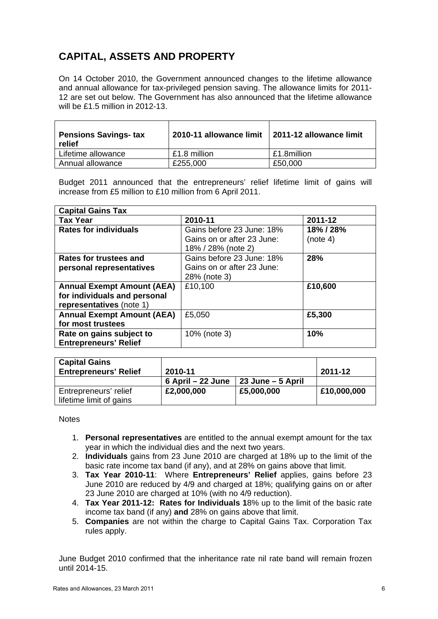# **CAPITAL, ASSETS AND PROPERTY**

On 14 October 2010, the Government announced changes to the lifetime allowance and annual allowance for tax-privileged pension saving. The allowance limits for 2011- 12 are set out below. The Government has also announced that the lifetime allowance will be £1.5 million in 2012-13.

| <b>Pensions Savings- tax</b><br>relief | 2010-11 allowance limit | 2011-12 allowance limit |
|----------------------------------------|-------------------------|-------------------------|
| Lifetime allowance                     | £1.8 million            | £1.8million             |
| Annual allowance                       | £255,000                | £50,000                 |

Budget 2011 announced that the entrepreneurs' relief lifetime limit of gains will increase from £5 million to £10 million from 6 April 2011.

| <b>Capital Gains Tax</b>          |                            |           |  |
|-----------------------------------|----------------------------|-----------|--|
| <b>Tax Year</b>                   | 2010-11                    | 2011-12   |  |
| <b>Rates for individuals</b>      | Gains before 23 June: 18%  | 18% / 28% |  |
|                                   | Gains on or after 23 June: | (note 4)  |  |
|                                   | 18% / 28% (note 2)         |           |  |
| Rates for trustees and            | Gains before 23 June: 18%  | 28%       |  |
| personal representatives          | Gains on or after 23 June: |           |  |
|                                   | 28% (note 3)               |           |  |
| <b>Annual Exempt Amount (AEA)</b> | £10,100                    | £10,600   |  |
| for individuals and personal      |                            |           |  |
| representatives (note 1)          |                            |           |  |
| <b>Annual Exempt Amount (AEA)</b> | £5,050                     | £5,300    |  |
| for most trustees                 |                            |           |  |
| Rate on gains subject to          | 10% (note 3)               | 10%       |  |
| <b>Entrepreneurs' Relief</b>      |                            |           |  |

| <b>Capital Gains</b><br><b>Entrepreneurs' Relief</b> | 2010-11           |                   | 2011-12     |
|------------------------------------------------------|-------------------|-------------------|-------------|
|                                                      | 6 April – 22 June | 23 June – 5 April |             |
| Entrepreneurs' relief<br>lifetime limit of gains     | £2,000,000        | £5,000,000        | £10,000,000 |

**Notes** 

- 1. **Personal representatives** are entitled to the annual exempt amount for the tax year in which the individual dies and the next two years.
- 2. **Individuals** gains from 23 June 2010 are charged at 18% up to the limit of the basic rate income tax band (if any), and at 28% on gains above that limit.
- 3. **Tax Year 2010-11**: Where **Entrepreneurs' Relief** applies, gains before 23 June 2010 are reduced by 4/9 and charged at 18%; qualifying gains on or after 23 June 2010 are charged at 10% (with no 4/9 reduction).
- 4. **Tax Year 2011-12: Rates for Individuals 1**8% up to the limit of the basic rate income tax band (if any) **and** 28% on gains above that limit.
- 5. **Companies** are not within the charge to Capital Gains Tax. Corporation Tax rules apply.

June Budget 2010 confirmed that the inheritance rate nil rate band will remain frozen until 2014-15.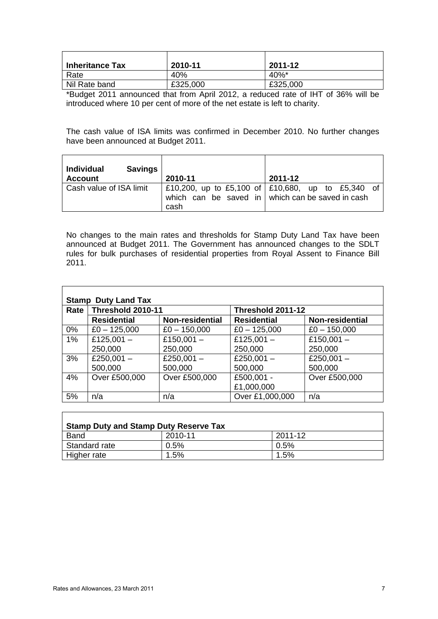| <b>Inheritance Tax</b> | 2010-11  | 2011-12  |
|------------------------|----------|----------|
| Rate                   | 40%      | $40\%$ * |
| Nil Rate band          | £325,000 | £325,000 |

\*Budget 2011 announced that from April 2012, a reduced rate of IHT of 36% will be introduced where 10 per cent of more of the net estate is left to charity.

The cash value of ISA limits was confirmed in December 2010. No further changes have been announced at Budget 2011.

| <b>Individual</b><br><b>Savings</b><br><b>Account</b> | 2010-11 | 2011-12                                                                                               |
|-------------------------------------------------------|---------|-------------------------------------------------------------------------------------------------------|
| Cash value of ISA limit                               | cash    | E10,200, up to £5,100 of E10,680, up to £5,340 of<br>which can be saved in which can be saved in cash |

No changes to the main rates and thresholds for Stamp Duty Land Tax have been announced at Budget 2011. The Government has announced changes to the SDLT rules for bulk purchases of residential properties from Royal Assent to Finance Bill 2011.

| <b>Stamp Duty Land Tax</b> |                    |                 |                    |                        |  |  |
|----------------------------|--------------------|-----------------|--------------------|------------------------|--|--|
| Rate                       | Threshold 2010-11  |                 | Threshold 2011-12  |                        |  |  |
|                            | <b>Residential</b> | Non-residential | <b>Residential</b> | <b>Non-residential</b> |  |  |
| $0\%$                      | $£0 - 125,000$     | $£0 - 150,000$  | $£0 - 125,000$     | $£0 - 150,000$         |  |  |
| $1\%$                      | £125,001 $-$       | £150,001 $-$    | £125,001 $-$       | £150,001 $-$           |  |  |
|                            | 250,000            | 250,000         | 250,000            | 250,000                |  |  |
| 3%                         | £250,001 $-$       | £250,001 $-$    | £250,001 $-$       | £250,001 $-$           |  |  |
|                            | 500,000            | 500,000         | 500,000            | 500,000                |  |  |
| 4%                         | Over £500,000      | Over £500,000   | £500,001 -         | Over £500,000          |  |  |
|                            |                    |                 | £1,000,000         |                        |  |  |
| 5%                         | n/a                | n/a             | Over £1,000,000    | n/a                    |  |  |

| <b>Stamp Duty and Stamp Duty Reserve Tax</b> |         |         |
|----------------------------------------------|---------|---------|
| <b>Band</b>                                  | 2010-11 | 2011-12 |
| Standard rate                                | 0.5%    | $0.5\%$ |
| Higher rate                                  | $1.5\%$ | $1.5\%$ |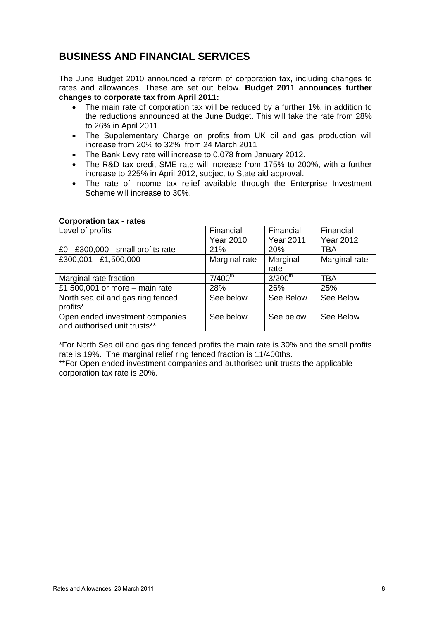## **BUSINESS AND FINANCIAL SERVICES**

The June Budget 2010 announced a reform of corporation tax, including changes to rates and allowances. These are set out below. **Budget 2011 announces further changes to corporate tax from April 2011:** 

- The main rate of corporation tax will be reduced by a further 1%, in addition to the reductions announced at the June Budget. This will take the rate from 28% to 26% in April 2011.
- The Supplementary Charge on profits from UK oil and gas production will increase from 20% to 32% from 24 March 2011
- The Bank Levy rate will increase to 0.078 from January 2012.
- The R&D tax credit SME rate will increase from 175% to 200%, with a further increase to 225% in April 2012, subject to State aid approval.
- The rate of income tax relief available through the Enterprise Investment Scheme will increase to 30%.

| <b>Corporation tax - rates</b>     |                  |                  |                  |
|------------------------------------|------------------|------------------|------------------|
| Level of profits                   | Financial        | Financial        | Financial        |
|                                    | <b>Year 2010</b> | <b>Year 2011</b> | <b>Year 2012</b> |
| £0 - £300,000 - small profits rate | 21%              | 20%              | TBA              |
| £300,001 - £1,500,000              | Marginal rate    | Marginal         | Marginal rate    |
|                                    |                  | rate             |                  |
| Marginal rate fraction             | $7/400^{th}$     | $3/200^{th}$     | TBA              |
| £1,500,001 or more – main rate     | <b>28%</b>       | 26%              | 25%              |
| North sea oil and gas ring fenced  | See below        | See Below        | See Below        |
| profits*                           |                  |                  |                  |
| Open ended investment companies    | See below        | See below        | See Below        |
| and authorised unit trusts**       |                  |                  |                  |

\*For North Sea oil and gas ring fenced profits the main rate is 30% and the small profits rate is 19%. The marginal relief ring fenced fraction is 11/400ths.

\*\*For Open ended investment companies and authorised unit trusts the applicable corporation tax rate is 20%.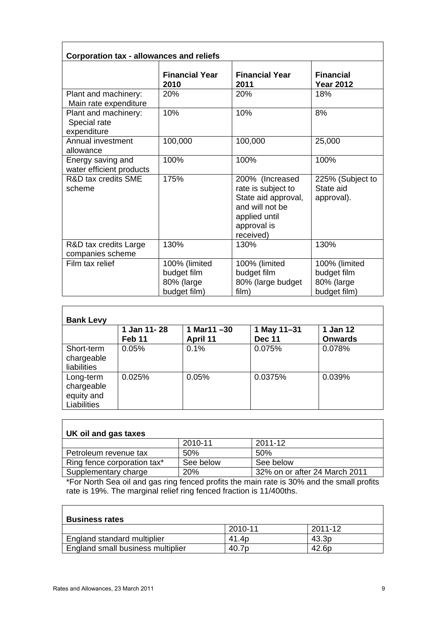| <b>Corporation tax - allowances and reliefs</b>     |                                                            |                                                                                                                              |                                                            |
|-----------------------------------------------------|------------------------------------------------------------|------------------------------------------------------------------------------------------------------------------------------|------------------------------------------------------------|
|                                                     | <b>Financial Year</b><br>2010                              | <b>Financial Year</b><br>2011                                                                                                | <b>Financial</b><br><b>Year 2012</b>                       |
| Plant and machinery:<br>Main rate expenditure       | 20%                                                        | 20%                                                                                                                          | 18%                                                        |
| Plant and machinery:<br>Special rate<br>expenditure | 10%                                                        | 10%                                                                                                                          | 8%                                                         |
| Annual investment<br>allowance                      | 100,000                                                    | 100,000                                                                                                                      | 25,000                                                     |
| Energy saving and<br>water efficient products       | 100%                                                       | 100%                                                                                                                         | 100%                                                       |
| <b>R&amp;D tax credits SME</b><br>scheme            | 175%                                                       | 200% (Increased<br>rate is subject to<br>State aid approval,<br>and will not be<br>applied until<br>approval is<br>received) | 225% (Subject to<br>State aid<br>approval).                |
| R&D tax credits Large<br>companies scheme           | 130%                                                       | 130%                                                                                                                         | 130%                                                       |
| Film tax relief                                     | 100% (limited<br>budget film<br>80% (large<br>budget film) | 100% (limited<br>budget film<br>80% (large budget<br>film)                                                                   | 100% (limited<br>budget film<br>80% (large<br>budget film) |

| <b>Bank Levy</b>                                     |                                  |                           |                              |                            |
|------------------------------------------------------|----------------------------------|---------------------------|------------------------------|----------------------------|
|                                                      | 1 Jan 11-28<br>Feb <sub>11</sub> | 1 Mar11 $-30$<br>April 11 | 1 May 11-31<br><b>Dec 11</b> | 1 Jan 12<br><b>Onwards</b> |
| Short-term<br>chargeable<br>liabilities              | 0.05%                            | 0.1%                      | 0.075%                       | 0.078%                     |
| Long-term<br>chargeable<br>equity and<br>Liabilities | 0.025%                           | 0.05%                     | 0.0375%                      | 0.039%                     |

| UK oil and gas taxes        |           |                               |
|-----------------------------|-----------|-------------------------------|
|                             | 2010-11   | 2011-12                       |
| Petroleum revenue tax       | .50%      | 50%                           |
| Ring fence corporation tax* | See below | See below                     |
| Supplementary charge        | 20%       | 32% on or after 24 March 2011 |

\*For North Sea oil and gas ring fenced profits the main rate is 30% and the small profits rate is 19%. The marginal relief ring fenced fraction is 11/400ths.

| <b>Business rates</b>             |         |                   |
|-----------------------------------|---------|-------------------|
|                                   | 2010-11 | 2011-12           |
| England standard multiplier       | 41.4p   | 43.3 <sub>p</sub> |
| England small business multiplier | 40.7p   | 42.6p             |

 $\overline{\phantom{a}}$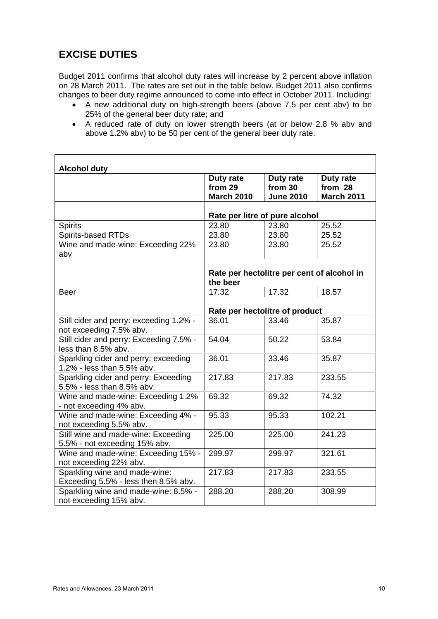## **EXCISE DUTIES**

Budget 2011 confirms that alcohol duty rates will increase by 2 percent above inflation on 28 March 2011. The rates are set out in the table below. Budget 2011 also confirms changes to beer duty regime announced to come into effect in October 2011. Including:

- A new additional duty on high-strength beers (above 7.5 per cent abv) to be 25% of the general beer duty rate; and
- A reduced rate of duty on lower strength beers (at or below 2.8 % abv and above 1.2% abv) to be 50 per cent of the general beer duty rate.

| <b>Alcohol duty</b>                                                   |                   |                                            |                   |
|-----------------------------------------------------------------------|-------------------|--------------------------------------------|-------------------|
|                                                                       | Duty rate         | Duty rate                                  | Duty rate         |
|                                                                       | from 29           | from 30                                    | from 28           |
|                                                                       | <b>March 2010</b> | <b>June 2010</b>                           | <b>March 2011</b> |
|                                                                       |                   | Rate per litre of pure alcohol             |                   |
| <b>Spirits</b>                                                        | 23.80             | 23.80                                      | 25.52             |
| Spirits-based RTDs                                                    | 23.80             | 23.80                                      | 25.52             |
| Wine and made-wine: Exceeding 22%<br>abv                              | 23.80             | 23.80                                      | 25.52             |
|                                                                       | the beer          | Rate per hectolitre per cent of alcohol in |                   |
| <b>Beer</b>                                                           | 17.32             | 17.32                                      | 18.57             |
|                                                                       |                   | Rate per hectolitre of product             |                   |
| Still cider and perry: exceeding 1.2% -<br>not exceeding 7.5% abv.    | 36.01             | 33.46                                      | 35.87             |
| Still cider and perry: Exceeding 7.5% -<br>less than 8.5% abv.        | 54.04             | 50.22                                      | 53.84             |
| Sparkling cider and perry: exceeding<br>1.2% - less than 5.5% abv.    | 36.01             | 33.46                                      | 35.87             |
| Sparkling cider and perry: Exceeding<br>5.5% - less than 8.5% abv.    | 217.83            | 217.83                                     | 233.55            |
| Wine and made-wine: Exceeding 1.2%<br>- not exceeding 4% abv.         | 69.32             | 69.32                                      | 74.32             |
| Wine and made-wine: Exceeding 4% -<br>not exceeding 5.5% abv.         | 95.33             | 95.33                                      | 102.21            |
| Still wine and made-wine: Exceeding<br>5.5% - not exceeding 15% abv.  | 225.00            | 225.00                                     | 241.23            |
| Wine and made-wine: Exceeding 15% -<br>not exceeding 22% abv.         | 299.97            | 299.97                                     | 321.61            |
| Sparkling wine and made-wine:<br>Exceeding 5.5% - less then 8.5% abv. | 217.83            | 217.83                                     | 233.55            |
| Sparkling wine and made-wine: 8.5% -<br>not exceeding 15% abv.        | 288.20            | 288.20                                     | 308.99            |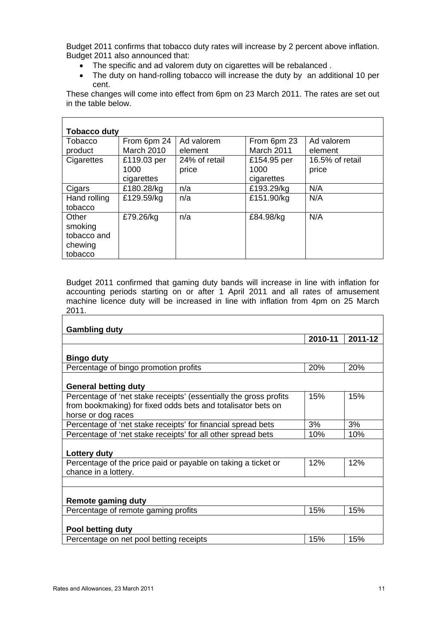Budget 2011 confirms that tobacco duty rates will increase by 2 percent above inflation. Budget 2011 also announced that:

- The specific and ad valorem duty on cigarettes will be rebalanced .
- The duty on hand-rolling tobacco will increase the duty by an additional 10 per cent.

These changes will come into effect from 6pm on 23 March 2011. The rates are set out in the table below.

| <b>Tobacco duty</b> |                   |               |             |                 |  |
|---------------------|-------------------|---------------|-------------|-----------------|--|
| Tobacco             | From 6pm 24       | Ad valorem    | From 6pm 23 | Ad valorem      |  |
| product             | <b>March 2010</b> | element       | March 2011  | element         |  |
| Cigarettes          | £119.03 per       | 24% of retail | £154.95 per | 16.5% of retail |  |
|                     | 1000              | price         | 1000        | price           |  |
|                     | cigarettes        |               | cigarettes  |                 |  |
| Cigars              | £180.28/kg        | n/a           | £193.29/kg  | N/A             |  |
| Hand rolling        | £129.59/kg        | n/a           | £151.90/kg  | N/A             |  |
| tobacco             |                   |               |             |                 |  |
| Other               | £79.26/kg         | n/a           | £84.98/kg   | N/A             |  |
| smoking             |                   |               |             |                 |  |
| tobacco and         |                   |               |             |                 |  |
| chewing             |                   |               |             |                 |  |
| tobacco             |                   |               |             |                 |  |

Budget 2011 confirmed that gaming duty bands will increase in line with inflation for accounting periods starting on or after 1 April 2011 and all rates of amusement machine licence duty will be increased in line with inflation from 4pm on 25 March 2011.

| <b>Gambling duty</b>                                              |         |         |
|-------------------------------------------------------------------|---------|---------|
|                                                                   | 2010-11 | 2011-12 |
|                                                                   |         |         |
| <b>Bingo duty</b>                                                 |         |         |
| Percentage of bingo promotion profits                             | 20%     | 20%     |
|                                                                   |         |         |
| <b>General betting duty</b>                                       |         |         |
| Percentage of 'net stake receipts' (essentially the gross profits | 15%     | 15%     |
| from bookmaking) for fixed odds bets and totalisator bets on      |         |         |
| horse or dog races                                                |         |         |
| Percentage of 'net stake receipts' for financial spread bets      | 3%      | 3%      |
| Percentage of 'net stake receipts' for all other spread bets      | 10%     | 10%     |
|                                                                   |         |         |
| Lottery duty                                                      |         |         |
| Percentage of the price paid or payable on taking a ticket or     | 12%     | 12%     |
| chance in a lottery.                                              |         |         |
|                                                                   |         |         |
|                                                                   |         |         |
| <b>Remote gaming duty</b>                                         |         |         |
| Percentage of remote gaming profits                               | 15%     | 15%     |
|                                                                   |         |         |
| Pool betting duty                                                 |         |         |
| Percentage on net pool betting receipts                           | 15%     | 15%     |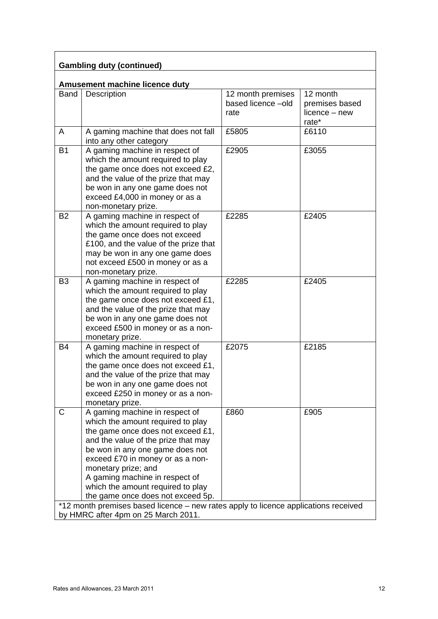| <b>Gambling duty (continued)</b> |                                                                                                                                                                                                                                                                                                                                                                                                                                                  |                                                 |                                                      |  |  |
|----------------------------------|--------------------------------------------------------------------------------------------------------------------------------------------------------------------------------------------------------------------------------------------------------------------------------------------------------------------------------------------------------------------------------------------------------------------------------------------------|-------------------------------------------------|------------------------------------------------------|--|--|
|                                  | Amusement machine licence duty                                                                                                                                                                                                                                                                                                                                                                                                                   |                                                 |                                                      |  |  |
| <b>Band</b>                      | Description                                                                                                                                                                                                                                                                                                                                                                                                                                      | 12 month premises<br>based licence -old<br>rate | 12 month<br>premises based<br>licence - new<br>rate* |  |  |
| A                                | A gaming machine that does not fall<br>into any other category                                                                                                                                                                                                                                                                                                                                                                                   | £5805                                           | £6110                                                |  |  |
| <b>B1</b>                        | A gaming machine in respect of<br>which the amount required to play<br>the game once does not exceed £2,<br>and the value of the prize that may<br>be won in any one game does not<br>exceed £4,000 in money or as a<br>non-monetary prize.                                                                                                                                                                                                      | £2905                                           | £3055                                                |  |  |
| <b>B2</b>                        | A gaming machine in respect of<br>which the amount required to play<br>the game once does not exceed<br>£100, and the value of the prize that<br>may be won in any one game does<br>not exceed £500 in money or as a<br>non-monetary prize.                                                                                                                                                                                                      | £2285                                           | £2405                                                |  |  |
| B <sub>3</sub>                   | A gaming machine in respect of<br>which the amount required to play<br>the game once does not exceed £1,<br>and the value of the prize that may<br>be won in any one game does not<br>exceed £500 in money or as a non-<br>monetary prize.                                                                                                                                                                                                       | £2285                                           | £2405                                                |  |  |
| B4                               | A gaming machine in respect of<br>which the amount required to play<br>the game once does not exceed £1,<br>and the value of the prize that may<br>be won in any one game does not<br>exceed £250 in money or as a non-<br>monetary prize.                                                                                                                                                                                                       | £2075                                           | £2185                                                |  |  |
| C                                | A gaming machine in respect of<br>which the amount required to play<br>the game once does not exceed £1,<br>and the value of the prize that may<br>be won in any one game does not<br>exceed £70 in money or as a non-<br>monetary prize; and<br>A gaming machine in respect of<br>which the amount required to play<br>the game once does not exceed 5p.<br>*12 month premises based licence – new rates apply to licence applications received | £860                                            | £905                                                 |  |  |
|                                  | by HMRC after 4pm on 25 March 2011.                                                                                                                                                                                                                                                                                                                                                                                                              |                                                 |                                                      |  |  |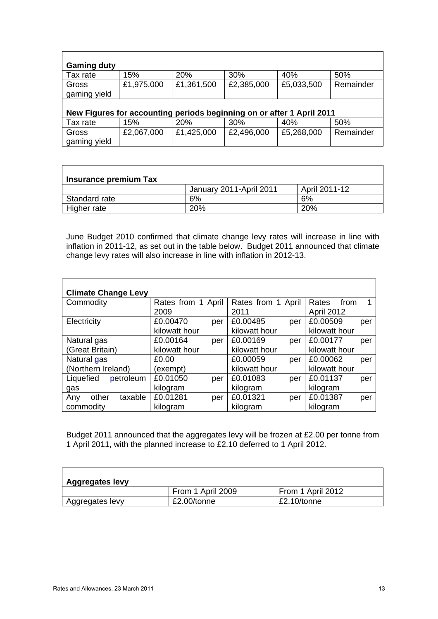| <b>Gaming duty</b> |                                                                       |            |            |            |           |  |
|--------------------|-----------------------------------------------------------------------|------------|------------|------------|-----------|--|
| Tax rate           | 15%                                                                   | 20%        | 30%        | 40%        | 50%       |  |
| Gross              | £1,975,000                                                            | £1,361,500 | £2,385,000 | £5,033,500 | Remainder |  |
| gaming yield       |                                                                       |            |            |            |           |  |
|                    |                                                                       |            |            |            |           |  |
|                    | New Figures for accounting periods beginning on or after 1 April 2011 |            |            |            |           |  |
| Tax rate           | 15%                                                                   | 20%        | 30%        | 40%        | 50%       |  |
| Gross              | £2,067,000                                                            | £1,425,000 | £2,496,000 | £5,268,000 | Remainder |  |
| gaming yield       |                                                                       |            |            |            |           |  |

|               | Insurance premium Tax   |               |  |  |  |  |
|---------------|-------------------------|---------------|--|--|--|--|
|               | January 2011-April 2011 | April 2011-12 |  |  |  |  |
| Standard rate | 6%                      | 6%            |  |  |  |  |
| Higher rate   | 20%                     | 20%           |  |  |  |  |

June Budget 2010 confirmed that climate change levy rates will increase in line with inflation in 2011-12, as set out in the table below. Budget 2011 announced that climate change levy rates will also increase in line with inflation in 2012-13.

| <b>Climate Change Levy</b> |                    |                    |                 |  |
|----------------------------|--------------------|--------------------|-----------------|--|
| Commodity                  | Rates from 1 April | Rates from 1 April | Rates<br>from   |  |
|                            | 2009               | 2011               | April 2012      |  |
| Electricity                | £0.00470<br>per    | £0.00485<br>per    | £0.00509<br>per |  |
|                            | kilowatt hour      | kilowatt hour      | kilowatt hour   |  |
| Natural gas                | £0.00164<br>per    | £0.00169<br>per    | £0.00177<br>per |  |
| (Great Britain)            | kilowatt hour      | kilowatt hour      | kilowatt hour   |  |
| Natural gas                | £0.00              | £0.00059<br>per    | £0.00062<br>per |  |
| (Northern Ireland)         | (exempt)           | kilowatt hour      | kilowatt hour   |  |
| Liquefied<br>petroleum     | £0.01050<br>per    | £0.01083<br>per    | £0.01137<br>per |  |
| gas                        | kilogram           | kilogram           | kilogram        |  |
| other<br>taxable<br>Any    | £0.01281<br>per    | £0.01321<br>per    | £0.01387<br>per |  |
| commodity                  | kilogram           | kilogram           | kilogram        |  |

Budget 2011 announced that the aggregates levy will be frozen at £2.00 per tonne from 1 April 2011, with the planned increase to £2.10 deferred to 1 April 2012.

| <b>Aggregates levy</b> |                   |                   |  |  |
|------------------------|-------------------|-------------------|--|--|
|                        | From 1 April 2009 | From 1 April 2012 |  |  |
| ' Aggregates levy      | £2.00/tonne       | £2.10/tonne       |  |  |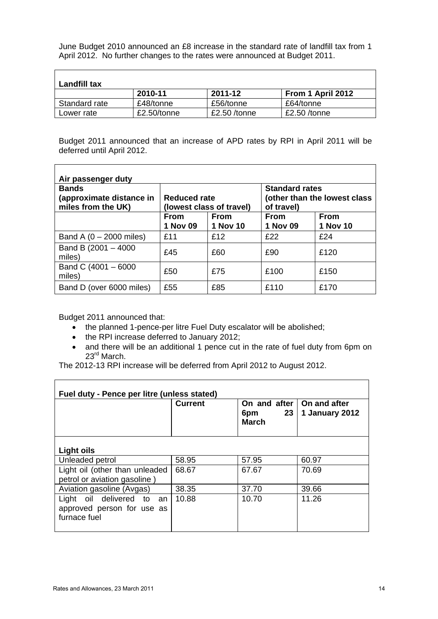June Budget 2010 announced an £8 increase in the standard rate of landfill tax from 1 April 2012. No further changes to the rates were announced at Budget 2011.

| Landfill tax  |             |              |                   |  |
|---------------|-------------|--------------|-------------------|--|
|               | 2010-11     | 2011-12      | From 1 April 2012 |  |
| Standard rate | £48/tonne   | £56/tonne    | £64/tonne         |  |
| Lower rate    | £2.50/tonne | £2.50 /tonne | $£2.50$ /tonne    |  |

Budget 2011 announced that an increase of APD rates by RPI in April 2011 will be deferred until April 2012.

| Air passenger duty                                             |                                          |                         |                                                                     |                         |  |
|----------------------------------------------------------------|------------------------------------------|-------------------------|---------------------------------------------------------------------|-------------------------|--|
| <b>Bands</b><br>(approximate distance in<br>miles from the UK) | Reduced rate<br>(lowest class of travel) |                         | <b>Standard rates</b><br>(other than the lowest class<br>of travel) |                         |  |
|                                                                | <b>From</b><br>1 Nov 09                  | <b>From</b><br>1 Nov 10 | From<br><b>1 Nov 09</b>                                             | <b>From</b><br>1 Nov 10 |  |
| Band A $(0 - 2000$ miles)                                      | £11                                      | £12                     | £22                                                                 | £24                     |  |
| Band B (2001 - 4000<br>miles)                                  | £45                                      | £60                     | £90                                                                 | £120                    |  |
| Band C (4001 - 6000<br>miles)                                  | £50                                      | £75                     | £100                                                                | £150                    |  |
| Band D (over 6000 miles)                                       | £55                                      | £85                     | £110                                                                | £170                    |  |

Budget 2011 announced that:

 $\blacksquare$ 

- the planned 1-pence-per litre Fuel Duty escalator will be abolished;
- the RPI increase deferred to January 2012;
- and there will be an additional 1 pence cut in the rate of fuel duty from 6pm on 23<sup>rd</sup> March.

The 2012-13 RPI increase will be deferred from April 2012 to August 2012.

| Fuel duty - Pence per litre (unless stated)                             |                |                                                                       |                |  |
|-------------------------------------------------------------------------|----------------|-----------------------------------------------------------------------|----------------|--|
|                                                                         | <b>Current</b> | On and after   On and after<br>23 <sup>1</sup><br>6pm<br><b>March</b> | 1 January 2012 |  |
| <b>Light oils</b>                                                       |                |                                                                       |                |  |
| Unleaded petrol                                                         | 58.95          | 57.95                                                                 | 60.97          |  |
| Light oil (other than unleaded<br>petrol or aviation gasoline)          | 68.67          | 67.67                                                                 | 70.69          |  |
| Aviation gasoline (Avgas)                                               | 38.35          | 37.70                                                                 | 39.66          |  |
| Light oil delivered to an<br>approved person for use as<br>furnace fuel | 10.88          | 10.70                                                                 | 11.26          |  |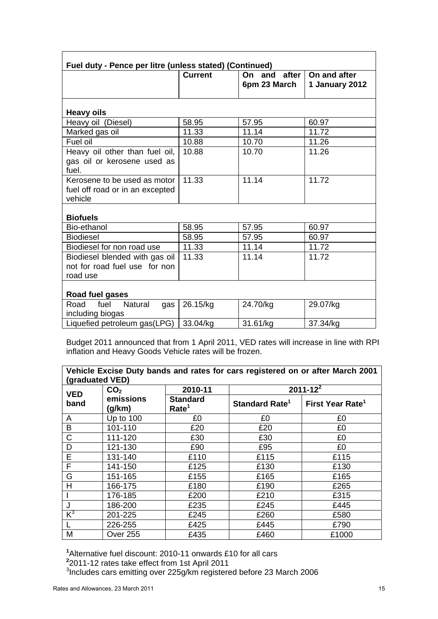| Fuel duty - Pence per litre (unless stated) (Continued)                     |                |                                 |                                |  |
|-----------------------------------------------------------------------------|----------------|---------------------------------|--------------------------------|--|
|                                                                             | <b>Current</b> | after<br>On and<br>6pm 23 March | On and after<br>1 January 2012 |  |
| <b>Heavy oils</b>                                                           |                |                                 |                                |  |
| Heavy oil (Diesel)                                                          | 58.95          | 57.95                           | 60.97                          |  |
| Marked gas oil                                                              | 11.33          | 11.14                           | 11.72                          |  |
| Fuel oil                                                                    | 10.88          | 10.70                           | 11.26                          |  |
| Heavy oil other than fuel oil,<br>gas oil or kerosene used as<br>fuel.      | 10.88          | 10.70                           | 11.26                          |  |
| Kerosene to be used as motor<br>fuel off road or in an excepted<br>vehicle  | 11.33          | 11.14                           | 11.72                          |  |
| <b>Biofuels</b>                                                             |                |                                 |                                |  |
| Bio-ethanol                                                                 | 58.95          | 57.95                           | 60.97                          |  |
| <b>Biodiesel</b>                                                            | 58.95          | 57.95                           | 60.97                          |  |
| Biodiesel for non road use                                                  | 11.33          | 11.14                           | 11.72                          |  |
| Biodiesel blended with gas oil<br>not for road fuel use for non<br>road use | 11.33          | 11.14                           | 11.72                          |  |
| Road fuel gases                                                             |                |                                 |                                |  |
| fuel<br><b>Natural</b><br>Road<br>gas<br>including biogas                   | 26.15/kg       | 24.70/kg                        | 29.07/kg                       |  |
| Liquefied petroleum gas(LPG)                                                | 33.04/kg       | 31.61/kg                        | 37.34/kg                       |  |

Budget 2011 announced that from 1 April 2011, VED rates will increase in line with RPI inflation and Heavy Goods Vehicle rates will be frozen.

| Vehicle Excise Duty bands and rates for cars registered on or after March 2001<br>(graduated VED) |                     |                                      |                            |                              |  |
|---------------------------------------------------------------------------------------------------|---------------------|--------------------------------------|----------------------------|------------------------------|--|
| <b>VED</b>                                                                                        | CO <sub>2</sub>     | 2010-11                              |                            | $2011 - 12^{2}$              |  |
| band                                                                                              | emissions<br>(g/km) | <b>Standard</b><br>Rate <sup>1</sup> | Standard Rate <sup>1</sup> | First Year Rate <sup>1</sup> |  |
| A                                                                                                 | Up to 100           | £0                                   | £0                         | £0                           |  |
| B                                                                                                 | 101-110             | £20                                  | £20                        | £0                           |  |
| $\mathsf{C}$                                                                                      | 111-120             | £30                                  | £30                        | £0                           |  |
| D                                                                                                 | 121-130             | £90                                  | £95                        | £0                           |  |
| E                                                                                                 | 131-140             | £110                                 | £115                       | £115                         |  |
| F                                                                                                 | 141-150             | £125                                 | £130                       | £130                         |  |
| G                                                                                                 | 151-165             | £155                                 | £165                       | £165                         |  |
| H                                                                                                 | 166-175             | £180                                 | £190                       | £265                         |  |
|                                                                                                   | 176-185             | £200                                 | £210                       | £315                         |  |
| J                                                                                                 | 186-200             | £235                                 | £245                       | £445                         |  |
| $K^3$                                                                                             | 201-225             | £245                                 | £260                       | £580                         |  |
|                                                                                                   | 226-255             | £425                                 | £445                       | £790                         |  |
| M                                                                                                 | <b>Over 255</b>     | £435                                 | £460                       | £1000                        |  |

<sup>1</sup>Alternative fuel discount: 2010-11 onwards £10 for all cars<br><sup>2</sup>2011-12 rates take effect from 1st April 2011<br><sup>3</sup>Includes cars emitting over 225g/km registered before 23 March 2006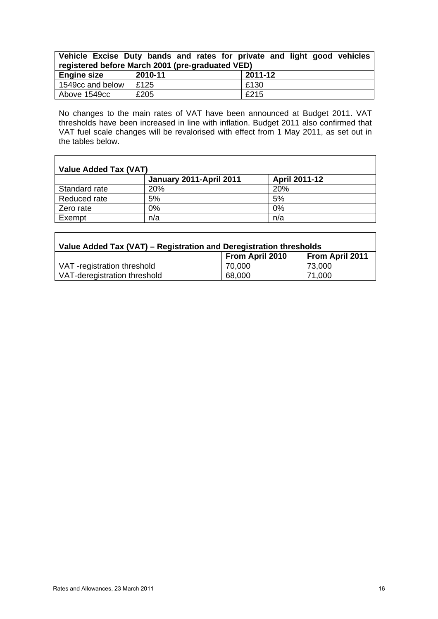| Vehicle Excise Duty bands and rates for private and light good vehicles<br>registered before March 2001 (pre-graduated VED) |         |         |  |  |  |
|-----------------------------------------------------------------------------------------------------------------------------|---------|---------|--|--|--|
| <b>Engine size</b>                                                                                                          | 2010-11 | 2011-12 |  |  |  |
| 1549cc and below                                                                                                            | E125    | E130    |  |  |  |
| Above 1549cc                                                                                                                | £205    | £215    |  |  |  |

No changes to the main rates of VAT have been announced at Budget 2011. VAT thresholds have been increased in line with inflation. Budget 2011 also confirmed that VAT fuel scale changes will be revalorised with effect from 1 May 2011, as set out in the tables below.

| Value Added Tax (VAT) |                         |                      |  |  |
|-----------------------|-------------------------|----------------------|--|--|
|                       | January 2011-April 2011 | <b>April 2011-12</b> |  |  |
| Standard rate         | <b>20%</b>              | 20%                  |  |  |
| Reduced rate          | 5%                      | 5%                   |  |  |
| Zero rate             | 0%                      | 0%                   |  |  |
| Exempt                | n/a                     | n/a                  |  |  |

| Value Added Tax (VAT) – Registration and Deregistration thresholds |                        |                 |  |  |
|--------------------------------------------------------------------|------------------------|-----------------|--|--|
|                                                                    | <b>From April 2010</b> | From April 2011 |  |  |
| VAT-registration threshold                                         | 70,000                 | 73,000          |  |  |
| VAT-deregistration threshold                                       | 68,000                 | 71,000          |  |  |

 $\mathsf{r}$ 

 $\mathsf{r}$ 

ı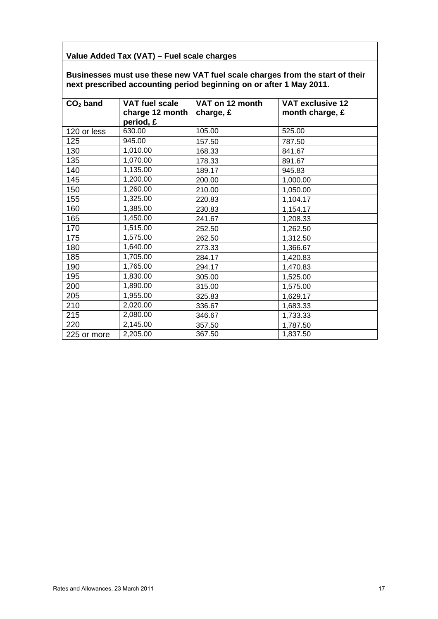### **Value Added Tax (VAT) – Fuel scale charges**

**Businesses must use these new VAT fuel scale charges from the start of their next prescribed accounting period beginning on or after 1 May 2011.** 

| $CO2$ band  | <b>VAT fuel scale</b><br>charge 12 month | VAT on 12 month<br>charge, £ | <b>VAT exclusive 12</b><br>month charge, £ |
|-------------|------------------------------------------|------------------------------|--------------------------------------------|
|             | period, £                                |                              |                                            |
| 120 or less | 630.00                                   | 105.00                       | 525.00                                     |
| 125         | 945.00                                   | 157.50                       | 787.50                                     |
| 130         | 1,010.00                                 | 168.33                       | 841.67                                     |
| 135         | 1,070.00                                 | 178.33                       | 891.67                                     |
| 140         | 1,135.00                                 | 189.17                       | 945.83                                     |
| 145         | 1,200.00                                 | 200.00                       | 1,000.00                                   |
| 150         | 1,260.00                                 | 210.00                       | 1,050.00                                   |
| 155         | 1,325.00                                 | 220.83                       | 1,104.17                                   |
| 160         | 1,385.00                                 | 230.83                       | 1,154.17                                   |
| 165         | 1,450.00                                 | 241.67                       | 1,208.33                                   |
| 170         | 1,515.00                                 | 252.50                       | 1,262.50                                   |
| 175         | 1,575.00                                 | 262.50                       | 1,312.50                                   |
| 180         | 1,640.00                                 | 273.33                       | 1,366.67                                   |
| 185         | 1,705.00                                 | 284.17                       | 1,420.83                                   |
| 190         | 1,765.00                                 | 294.17                       | 1,470.83                                   |
| 195         | 1,830.00                                 | 305.00                       | 1,525.00                                   |
| 200         | 1,890.00                                 | 315.00                       | 1,575.00                                   |
| 205         | 1,955.00                                 | 325.83                       | 1,629.17                                   |
| 210         | 2,020.00                                 | 336.67                       | 1,683.33                                   |
| 215         | 2,080.00                                 | 346.67                       | 1,733.33                                   |
| 220         | 2,145.00                                 | 357.50                       | 1,787.50                                   |
| 225 or more | 2,205.00                                 | 367.50                       | 1,837.50                                   |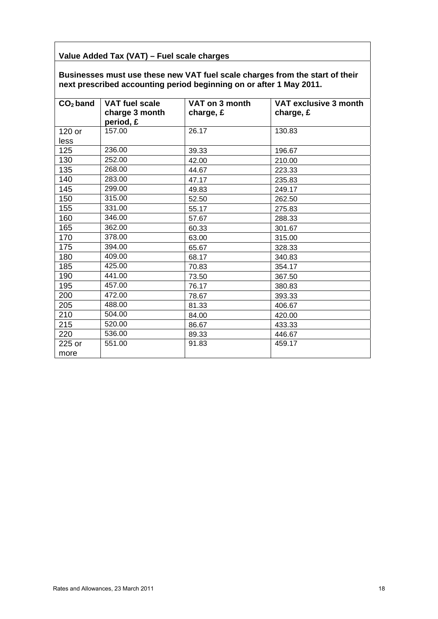### **Value Added Tax (VAT) – Fuel scale charges**

**Businesses must use these new VAT fuel scale charges from the start of their next prescribed accounting period beginning on or after 1 May 2011.** 

| $CO2$ band | <b>VAT fuel scale</b><br>charge 3 month<br>period, £ | VAT on 3 month<br>charge, £ | VAT exclusive 3 month<br>charge, £ |
|------------|------------------------------------------------------|-----------------------------|------------------------------------|
| 120 or     | 157.00                                               | 26.17                       | 130.83                             |
| less       |                                                      |                             |                                    |
| 125        | 236.00                                               | 39.33                       | 196.67                             |
| 130        | 252.00                                               | 42.00                       | 210.00                             |
| 135        | 268.00                                               | 44.67                       | 223.33                             |
| 140        | 283.00                                               | 47.17                       | 235.83                             |
| 145        | 299.00                                               | 49.83                       | 249.17                             |
| 150        | 315.00                                               | 52.50                       | 262.50                             |
| 155        | 331.00                                               | 55.17                       | 275.83                             |
| 160        | 346.00                                               | 57.67                       | 288.33                             |
| 165        | 362.00                                               | 60.33                       | 301.67                             |
| 170        | 378.00                                               | 63.00                       | 315.00                             |
| 175        | 394.00                                               | 65.67                       | 328.33                             |
| 180        | 409.00                                               | 68.17                       | 340.83                             |
| 185        | 425.00                                               | 70.83                       | 354.17                             |
| 190        | 441.00                                               | 73.50                       | 367.50                             |
| 195        | 457.00                                               | 76.17                       | 380.83                             |
| 200        | 472.00                                               | 78.67                       | 393.33                             |
| 205        | 488.00                                               | 81.33                       | 406.67                             |
| 210        | 504.00                                               | 84.00                       | 420.00                             |
| 215        | 520.00                                               | 86.67                       | 433.33                             |
| 220        | 536.00                                               | 89.33                       | 446.67                             |
| 225 or     | 551.00                                               | 91.83                       | 459.17                             |
| more       |                                                      |                             |                                    |